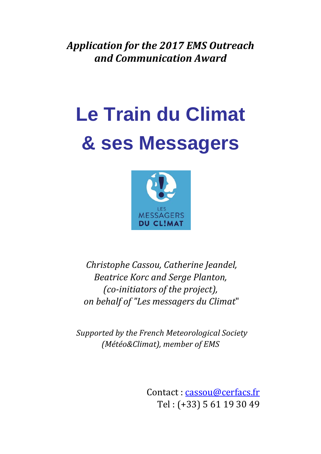Application for the 2017 EMS Outreach *and\*Communication\*Award*

# **Le Train du Climat & ses Messagers**



*Christophe Cassou, Catherine Jeandel,* **Beatrice Korc and Serge Planton,** *(co-initiators of the project), !on!behalf!of!"Les!messagers!du!Climat*"

*Supported!by!the!French!Meteorological!Society! (Météo&Climat), member of EMS* 

> Contact: cassou@cerfacs.fr Tel: (+33) 5 61 19 30 49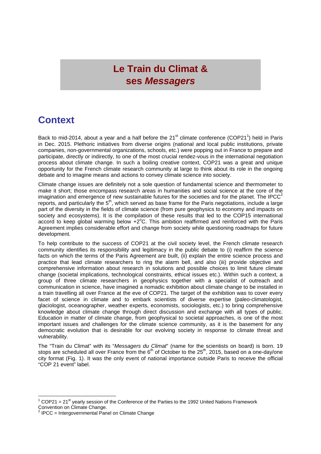## **Le Train du Climat & ses** *Messagers*

#### **Context**

Back to mid-2014, about a year and a half before the 21<sup>st</sup> climate conference (COP21<sup>1</sup>) held in Paris in Dec. 2015. Plethoric initiatives from diverse origins (national and local public institutions, private companies, non-governmental organizations, schools, etc.) were popping out in France to prepare and participate, directly or indirectly, to one of the most crucial rendez-vous in the international negotiation process about climate change. In such a boiling creative context, COP21 was a great and unique opportunity for the French climate research community at large to think about its role in the ongoing debate and to imagine means and actions to convey climate science into society.

Climate change issues are definitely not a sole question of fundamental science and thermometer to make it short; those encompass research areas in humanities and social science at the core of the imagination and emergence of new sustainable futures for the societies and for the planet. The IPCC $^2$ reports, and particularly the 5<sup>th</sup>, which served as base frame for the Paris negotiations, include a large reports. part of the diversity in the fields of climate science (from pure geophysics to economy and impacts on society and ecosystems). It is the compilation of these results that led to the COP15 international accord to keep global warming below  $+2^{\circ}$ C. This ambition reaffirmed and reinforced with the Paris Agreement implies considerable effort and change from society while questioning roadmaps for future development.

To help contribute to the success of COP21 at the civil society level, the French climate research community identifies its responsibility and legitimacy in the public debate to (i) reaffirm the science facts on which the terms of the Paris Agreement are built, (ii) explain the entire science process and practice that lead climate researchers to ring the alarm bell, and also (iii) provide objective and comprehensive information about research in solutions and possible choices to limit future climate change (societal implications, technological constraints, ethical issues etc.). Within such a context, a group of three climate researchers in geophysics together with a specialist of outreach and communication in science, have imagined a nomadic exhibition about climate change to be installed in a train travelling all over France at the eve of COP21. The target of the exhibition was to cover every facet of science in climate and to embark scientists of diverse expertise (paleo-climatologist, glaciologist, oceanographer, weather experts, economists, sociologists, etc.) to bring comprehensive knowledge about climate change through direct discussion and exchange with all types of public. Education in matter of climate change, from geophysical to societal approaches, is one of the most important issues and challenges for the climate science community, as it is the basement for any democratic evolution that is desirable for our evolving society in response to climate threat and vulnerability.

The "Train du Climat" with its "*Messagers du Climat*" (name for the scientists on board) is born. 19 stops are scheduled all over France from the  $6<sup>th</sup>$  of October to the 25<sup>th</sup>, 2015, based on a one-day/one city format (Fig. 1). It was the only event of national importance outside Paris to receive the official "COP 21 event" label.

<sup>!!!!!!!!!!!!!!!!!!!!!!!!!!!!!!!!!!!!!!!!!!!!!!!!!!!!!!!</sup> <sup>1</sup> COP21 = 21st yearly session of the Conference of the Parties to the 1992 United Nations Framework Convention on Climate Change.

 $2$  IPCC = Intergovernmental Panel on Climate Change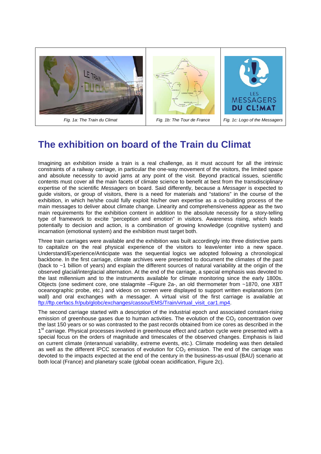

## **The exhibition on board of the Train du Climat**

Imagining an exhibition inside a train is a real challenge, as it must account for all the intrinsic constraints of a railway carriage, in particular the one-way movement of the visitors, the limited space and absolute necessity to avoid jams at any point of the visit. Beyond practical issues, scientific contents must cover all the main facets of climate science to benefit at best from the transdisciplinary expertise of the scientific *Messagers* on board. Said differently, because a *Messager* is expected to guide visitors, or group of visitors, there is a need for materials and "stations" in the course of the exhibition, in which he/she could fully exploit his/her own expertise as a co-building process of the main messages to deliver about climate change. Linearity and comprehensiveness appear as the two main requirements for the exhibition content in addition to the absolute necessity for a story-telling type of framework to excite "perception and emotion" in visitors. Awareness rising, which leads potentially to decision and action, is a combination of growing knowledge (cognitive system) and incarnation (emotional system) and the exhibition must target both.

Three train carriages were available and the exhibition was built accordingly into three distinctive parts to capitalize on the real physical experience of the visitors to leave/enter into a new space. Understand/Experience/Anticipate was the sequential logics we adopted following a chronological backbone. In the first carriage, climate archives were presented to document the climates of the past (back to ~1 billion of years) and explain the different sources of natural variability at the origin of the observed glacial/interglacial alternation. At the end of the carriage, a special emphasis was devoted to the last millennium and to the instruments available for climate monitoring since the early 1800s. Objects (one sediment core, one stalagmite –Figure 2a-, an old thermometer from ~1870, one XBT oceanographic probe, etc.) and videos on screen were displayed to support written explanations (on wall) and oral exchanges with a messager. A virtual visit of the first carriage is available at ftp://ftp.cerfacs.fr/pub/globc/exchanges/cassou/EMS/Train/virtual\_visit\_car1.mp4.

The second carriage started with a description of the industrial epoch and associated constant-rising emission of greenhouse gases due to human activities. The evolution of the  $CO<sub>2</sub>$  concentration over the last 150 years or so was contrasted to the past records obtained from ice cores as described in the 1<sup>st</sup> carriage. Physical processes involved in greenhouse effect and carbon cycle were presented with a special focus on the orders of magnitude and timescales of the observed changes. Emphasis is laid on current climate (interannual variability, extreme events, etc.). Climate modeling was then detailed as well as the different IPCC scenarios of evolution for  $CO<sub>2</sub>$  emission. The end of the carriage was devoted to the impacts expected at the end of the century in the business-as-usual (BAU) scenario at both local (France) and planetary scale (global ocean acidification, Figure 2c).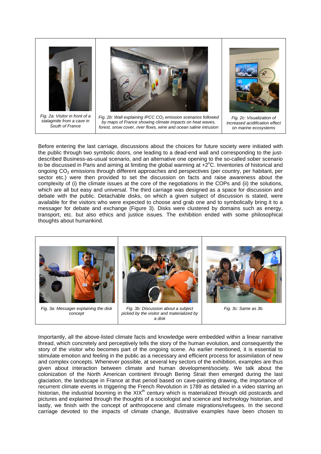

Before entering the last carriage, discussions about the choices for future society were initiated with the public through two symbolic doors, one leading to a dead-end wall and corresponding to the justdescribed Business-as-usual scenario, and an alternative one opening to the so-called sober scenario to be discussed in Paris and aiming at limiting the global warming at  $+2^{\circ}$ C. Inventories of historical and ongoing CO2 emissions through different approaches and perspectives (per country, per habitant, per sector etc.) were then provided to set the discussion on facts and raise awareness about the complexity of (i) the climate issues at the core of the negotiations in the COPs and (ii) the solutions, which are all but easy and universal. The third carriage was designed as a space for discussion and debate with the public. Detachable disks, on which a given subject of discussion is stated, were available for the visitors who were expected to choose and grab one and to symbolically bring it to a messager for debate and exchange (Figure 3). Disks were clustered by domains such as energy, transport, etc. but also ethics and justice issues. The exhibition ended with some philosophical thoughts about humankind.



Importantly, all the above-listed climate facts and knowledge were embedded within a linear narrative thread, which concretely and perceptively tells the story of the human evolution, and consequently the story of the visitor who becomes part of the ongoing scene. As earlier mentioned, it is essential to stimulate emotion and feeling in the public as a necessary and efficient process for assimilation of new and complex concepts. Whenever possible, at several key sectors of the exhibition, examples are thus given about interaction between climate and human development/society. We talk about the colonization of the North American continent through Bering Strait then emerged during the last glaciation, the landscape in France at that period based on cave-painting drawing, the importance of recurrent climate events in triggering the French Revolution in 1789 as detailed in a video starring an historian, the industrial booming in the  $XIX<sup>th</sup>$  century which is materialized through old postcards and pictures and explained through the thoughts of a sociologist and science and technology historian, and lastly, we finish with the concept of anthropocene and climate migrations/refugees. In the second carriage devoted to the impacts of climate change, illustrative examples have been chosen to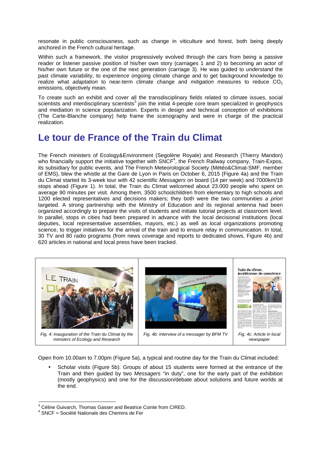resonate in public consciousness, such as change in viticulture and forest, both being deeply anchored in the French cultural heritage.

Within such a framework, the visitor progressively evolved through the cars from being a passive reader or listener passive position of his/her own story (carriages 1 and 2) to becoming an actor of his/her own future or the one of the next generation (carriage 3). He was guided to *understand* the past climate variability, to *experience* ongoing climate change and to get background knowledge to realize what *adaptation* to near-term climate change and *mitigation* measures to reduce CO<sub>2</sub> emissions, objectively mean.

To create such an exhibit and cover all the transdisciplinary fields related to climate issues, social scientists and interdisciplinary scientists $3$  join the initial 4-people core team specialized in geophysics and mediation in science popularization. Experts in design and technical conception of exhibitions (The Carte-Blanche company) help frame the scenography and were in charge of the practical realization.

#### **Le tour de France of the Train du Climat**

The French ministers of Ecology&Environment (Segolène Royale) and Research (Thierry Mandon) who financially support the initiative together with SNCF<sup>4</sup>, the French Railway company, Train-Expos, its subsidiary for public events, and The French Meteorological Society (Météo&Climat-SMF, member of EMS), blew the whistle at the Gare de Lyon in Paris on October 6, 2015 (Figure 4a) and the Train du Climat started its 3-week tour with 42 scientific *Messagers* on board (14 per week) and 7000km/19 stops ahead (Figure 1). In total, the Train du Climat welcomed about 23.000 people who spent on average 90 minutes per visit. Among them, 3500 schoolchildren from elementary to high schools and 1200 elected representatives and decisions makers; they both were the two communities *a priori* targeted. A strong partnership with the Ministry of Education and its regional antenna had been organized accordingly to prepare the visits of students and initiate tutorial projects at classroom level. In parallel, stops in cities had been prepared in advance with the local decisional institutions (local deputies, local representative assemblies, mayors, etc.) as well as local organizations promoting science, to trigger initiatives for the arrival of the train and to ensure relay in communication. In total, 30 TV and 80 radio programs (from news coverage and reports to dedicated shows, Figure 4b) and 620 articles in national and local press have been tracked.



Open from 10.00am to 7.00pm (Figure 5a), a typical and routine day for the Train du Climat included:

• Scholar visits (Figure 5b). Groups of about 15 students were formed at the entrance of the Train and then guided by two *Messagers* "in duty", one for the early part of the exhibition (mostly geophysics) and one for the discussion/debate about solutions and future worlds at the end.

<sup>!!!!!!!!!!!!!!!!!!!!!!!!!!!!!!!!!!!!!!!!!!!!!!!!!!!!!!!</sup> <sup>3</sup> Céline Guivarch, Thomas Gasser and Beatrice Cointe from CIRED.

<sup>4</sup> SNCF = Société Nationale des Chemins de Fer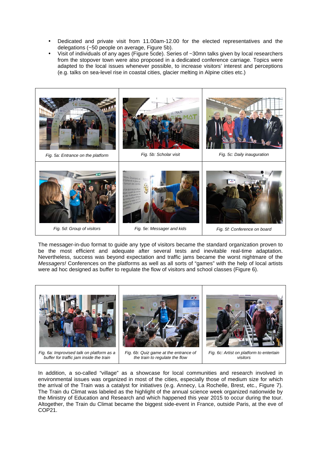- Dedicated and private visit from 11.00am-12.00 for the elected representatives and the delegations (~50 people on average, Figure 5b).
- Visit of individuals of any ages (Figure 5cde). Series of ~30mn talks given by local researchers from the stopover town were also proposed in a dedicated conference carriage. Topics were adapted to the local issues whenever possible, to increase visitors' interest and perceptions (e.g. talks on sea-level rise in coastal cities, glacier melting in Alpine cities etc.)



The messager-in-duo format to guide any type of visitors became the standard organization proven to be the most efficient and adequate after several tests and inevitable real-time adaptation. Nevertheless, success was beyond expectation and traffic jams became the worst nightmare of the *Messagers!* Conferences on the platforms as well as all sorts of "games" with the help of local artists were ad hoc designed as buffer to regulate the flow of visitors and school classes (Figure 6).



In addition, a so-called "village" as a showcase for local communities and research involved in environmental issues was organized in most of the cities, especially those of medium size for which the arrival of the Train was a catalyst for initiatives (e.g. Annecy, La Rochelle, Brest, etc., Figure 7). The Train du Climat was labeled as the highlight of the annual science week organized nationwide by the Ministry of Education and Research and which happened this year 2015 to occur during the tour. Altogether, the Train du Climat became the biggest side-event in France, outside Paris, at the eve of COP21.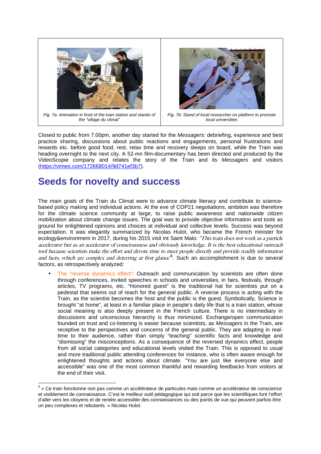

*Fig. 7a: Animation in front of the train station and stands of the "village du climat"*



*Fig. 7b: Stand of local researcher on platform to promote local universities*

Closed to public from 7.00pm, another day started for the *Messagers*: debriefing, experience and best practice sharing, discussions about public reactions and engagements, personal frustrations and rewards etc. before good food, rest, relax time and recovery sleeps on board, while the Train was heading overnight to the next city. A 52-mn film-documentary has been directed and produced by the VideoScopie company and relates the story of the Train and its *Messagers* and visitors (https://vimeo.com/172668014/9d741ef3b7).

### **Seeds for novelty and success**

The main goals of the Train du Climat were to advance climate literacy and contribute to sciencebased policy making and individual actions. At the eve of COP21 negotiations, ambition was therefore for the climate science community at large, to raise public awareness and nationwide citizen mobilization about climate change issues. The goal was to provide objective information and tools as ground for enlightened opinions and choices at individual and collective levels. Success was beyond expectation. It was elegantly summarized by Nicolas Hulot, who became the French minister for ecology&environment in 2017, during his 2015 visit int Saint Malo: "This train does not work as a particle accelerator but as an accelerator of consciousness and obviously knowledge. It is the best educational outreach tool because scientists make the effort and devote time to meet people directly and provide readily information and facts, which are complex and deterring at first glance<sup>5</sup>. Such an accomplishment is due to several factors, as retrospectively analyzed:

The "reverse dynamics effect": Outreach and communication by scientists are often done through conferences, invited speeches in schools and universities, in fairs, festivals, through articles, TV programs, etc. "Honored guest" is the traditional hat for scientists put on a pedestal that seems out of reach for the general public. A reverse process is acting with the Train, as the scientist becomes the host and the public is the guest. Symbolically, Science is brought "at home", at least in a familiar place in people's daily life that is a train station, whose social meaning is also deeply present in the French culture. There is no intermediary in discussions and unconscious hierarchy is thus minimized. Exchange/open communication founded on trust and co-listening is easier because scientists, as *Messagers* in the Train, are receptive to the perspectives and concerns of the general public. They are adapting in realtime to their audience, rather than simply "teaching" scientific facts and knowledge and "dismissing" the misconceptions. As a consequence of the reversed dynamics effect, people from all social categories and educational levels visited the Train. This is opposed to usual and more traditional public attending conferences for instance, who is often aware enough for enlightened thoughts and actions about climate. "You are just like everyone else and accessible" was one of the most common thankful and rewarding feedbacks from visitors at the end of their visit.

<sup>&</sup>lt;sup>5</sup> « Ce train fonctionne non pas comme un accélérateur de particules mais comme un accélérateur de conscience et visiblement de connaissance. C'est le meilleur outil pédagogique qui soit parce que les scientifiques font l'effort d'aller vers les citoyens et de rendre accessible des connaissances ou des points de vue qui peuvent parfois être un peu complexes et rebutants. » Nicolas Hulot.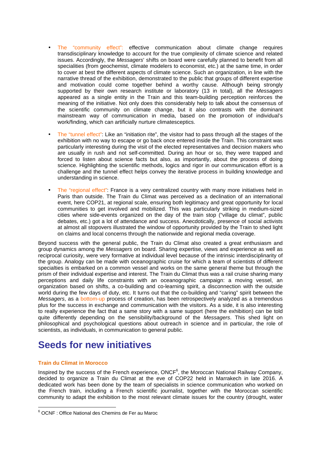- The "community effect": effective communication about climate change requires transdisciplinary knowledge to account for the true complexity of climate science and related issues. Accordingly, the *Messagers*' shifts on board were carefully planned to benefit from all specialities (from geochemist, climate modelers to economist, etc.) at the same time, in order to cover at best the different aspects of climate science. Such an organization, in line with the narrative thread of the exhibition, demonstrated to the public that groups of different expertise and motivation could come together behind a worthy cause. Although being strongly supported by their own research institute or laboratory (13 in total), all the *Messagers* appeared as a single entity in the Train and this team-building perception reinforces the meaning of the initiative. Not only does this considerably help to talk about the consensus of the scientific community on climate change, but it also contrasts with the dominant mainstream way of communication in media, based on the promotion of individual's work/finding, which can artificially nurture climatesceptics.
- The "tunnel effect": Like an "initiation rite", the visitor had to pass through all the stages of the exhibition with no way to escape or go back once entered inside the Train. This constraint was particularly interesting during the visit of the elected representatives and decision makers who are usually in rush and not self-committed. During an hour or so, they were trapped and forced to listen about science facts but also, as importantly, about the process of doing science. Highlighting the scientific methods, logics and rigor in our communication effort is a challenge and the tunnel effect helps convey the iterative process in building knowledge and understanding in science.
- The "regional effect": France is a very centralized country with many more initiatives held in Paris than outside. The Train du Climat was perceived as a declination of an international event, here COP21, at regional scale, ensuring both legitimacy and great opportunity for local communities to get involved and mobilized. This was particularly striking in medium-sized cities where side-events organized on the day of the train stop ("village du climat", public debates, etc.) got a lot of attendance and success. Anecdotically, presence of social activists at almost all stopovers illustrated the window of opportunity provided by the Train to shed light on claims and local concerns through the nationwide and regional media coverage.

Beyond success with the general public, the Train du Climat also created a great enthusiasm and group dynamics among the *Messagers* on board. Sharing expertise, views and experience as well as reciprocal curiosity, were very formative at individual level because of the intrinsic interdisciplinarity of the group. Analogy can be made with oceanographic cruise for which a team of scientists of different specialties is embarked on a common vessel and works on the same general theme but through the prism of their individual expertise and interest. The Train du Climat thus was a rail cruise sharing many perceptions and daily life constraints with an oceanographic campaign: a moving vessel, an organization based on shifts, a co-building and co-learning spirit, a disconnection with the outside world during the few days of duty, etc. It turns out that the co-building and "caring" spirit between the *Messagers*, as a bottom-up process of creation, has been retrospectively analyzed as a tremendous plus for the success in exchange and communication with the visitors. As a side, it is also interesting to really experience the fact that a same story with a same support (here the exhibition) can be told quite differently depending on the sensibility/background of the *Messagers*. This shed light on philosophical and psychological questions about outreach in science and in particular, the role of scientists, as individuals, in communication to general public.

## **Seeds for new initiatives**

#### **Train du Climat in Morocco**

Inspired by the success of the French experience,  $ONCF<sup>6</sup>$ , the Moroccan National Railway Company, decided to organize a Train du Climat at the eve of COP22 held in Marrakech in late 2016. A dedicated work has been done by the team of specialists in science communication who worked on the French train, including a French scientific journalist, together with the Moroccan scientific community to adapt the exhibition to the most relevant climate issues for the country (drought, water

<sup>!!!!!!!!!!!!!!!!!!!!!!!!!!!!!!!!!!!!!!!!!!!!!!!!!!!!!!!</sup> <sup>6</sup> OCNF : Office National des Chemins de Fer au Maroc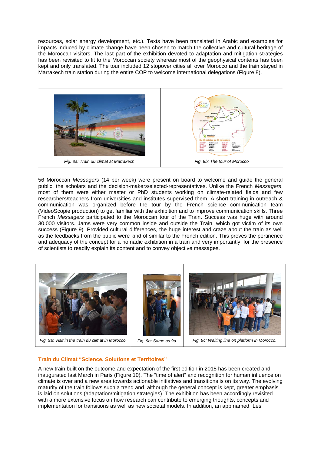resources, solar energy development, etc.). Texts have been translated in Arabic and examples for impacts induced by climate change have been chosen to match the collective and cultural heritage of the Moroccan visitors. The last part of the exhibition devoted to adaptation and mitigation strategies has been revisited to fit to the Moroccan society whereas most of the geophysical contents has been kept and only translated. The tour included 12 stopover cities all over Morocco and the train stayed in Marrakech train station during the entire COP to welcome international delegations (Figure 8).



56 Moroccan *Messagers* (14 per week) were present on board to welcome and guide the general public, the scholars and the decision-makers/elected-representatives. Unlike the French *Messagers*, most of them were either master or PhD students working on climate-related fields and few researchers/teachers from universities and institutes supervised them. A short training in outreach & communication was organized before the tour by the French science communication team (VideoScopie production) to get familiar with the exhibition and to improve communication skills. Three French *Messagers* participated to the Moroccan tour of the Train. Success was huge with around 30.000 visitors. Jams were very common inside and outside the Train, which got victim of its own success (Figure 9). Provided cultural differences, the huge interest and craze about the train as well as the feedbacks from the public were kind of similar to the French edition. This proves the pertinence and adequacy of the concept for a nomadic exhibition in a train and very importantly, for the presence of scientists to readily explain its content and to convey objective messages.



*Fig. 9a: Visit in the train du climat in Morocco Fig. 9b: Same as 9a Fig. 9c: Waiting line on platform in Morocco.*

#### **Train du Climat "Science, Solutions et Territoires"**

A new train built on the outcome and expectation of the first edition in 2015 has been created and inaugurated last March in Paris (Figure 10). The "time of alert" and recognition for human influence on climate is over and a new area towards actionable initiatives and transitions is on its way. The evolving maturity of the train follows such a trend and, although the general concept is kept, greater emphasis is laid on solutions (adaptation/mitigation strategies). The exhibition has been accordingly revisited with a more extensive focus on how research can contribute to emerging thoughts, concepts and implementation for transitions as well as new societal models. In addition, an app named "Les